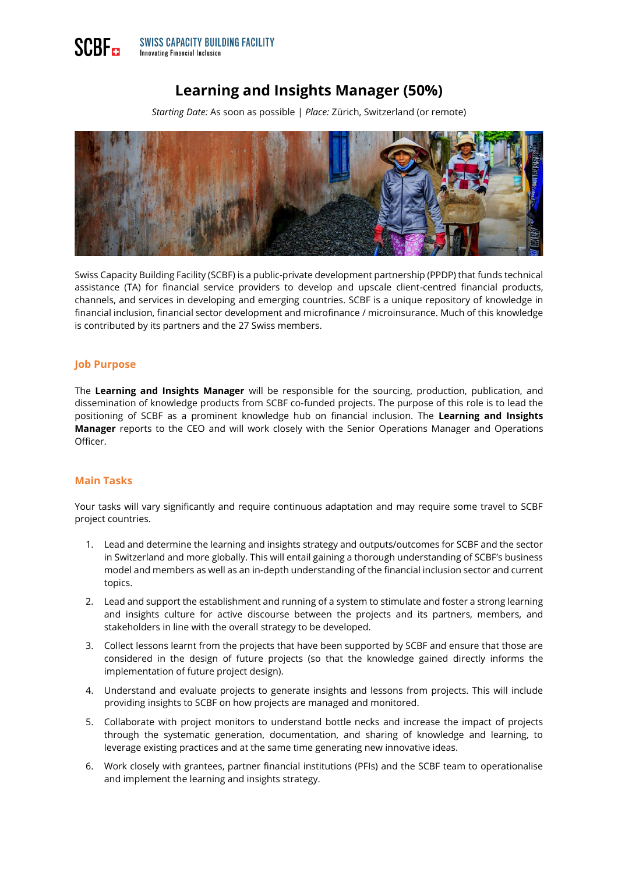# **Learning and Insights Manager (50%)**

*Starting Date:* As soon as possible | *Place:* Zürich, Switzerland (or remote)



Swiss Capacity Building Facility (SCBF) is a public-private development partnership (PPDP) that funds technical assistance (TA) for financial service providers to develop and upscale client-centred financial products, channels, and services in developing and emerging countries. SCBF is a unique repository of knowledge in financial inclusion, financial sector development and microfinance / microinsurance. Much of this knowledge is contributed by its partners and the 27 Swiss members.

## **Job Purpose**

The **Learning and Insights Manager** will be responsible for the sourcing, production, publication, and dissemination of knowledge products from SCBF co-funded projects. The purpose of this role is to lead the positioning of SCBF as a prominent knowledge hub on financial inclusion. The **Learning and Insights Manager** reports to the CEO and will work closely with the Senior Operations Manager and Operations Officer.

## **Main Tasks**

Your tasks will vary significantly and require continuous adaptation and may require some travel to SCBF project countries.

- 1. Lead and determine the learning and insights strategy and outputs/outcomes for SCBF and the sector in Switzerland and more globally. This will entail gaining a thorough understanding of SCBF's business model and members as well as an in-depth understanding of the financial inclusion sector and current topics.
- 2. Lead and support the establishment and running of a system to stimulate and foster a strong learning and insights culture for active discourse between the projects and its partners, members, and stakeholders in line with the overall strategy to be developed.
- 3. Collect lessons learnt from the projects that have been supported by SCBF and ensure that those are considered in the design of future projects (so that the knowledge gained directly informs the implementation of future project design).
- 4. Understand and evaluate projects to generate insights and lessons from projects. This will include providing insights to SCBF on how projects are managed and monitored.
- 5. Collaborate with project monitors to understand bottle necks and increase the impact of projects through the systematic generation, documentation, and sharing of knowledge and learning, to leverage existing practices and at the same time generating new innovative ideas.
- 6. Work closely with grantees, partner financial institutions (PFIs) and the SCBF team to operationalise and implement the learning and insights strategy.